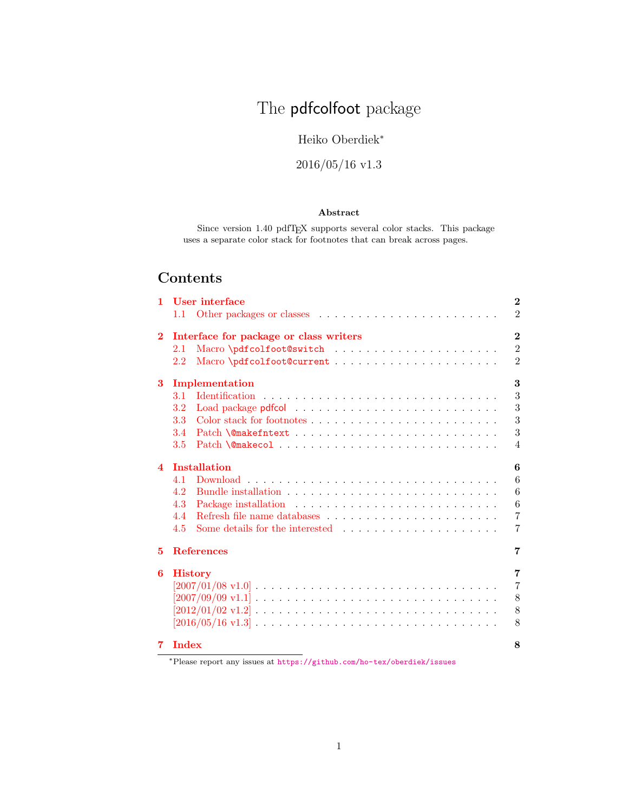# The pdfcolfoot package

### Heiko Oberdiek<sup>∗</sup>

# 2016/05/16 v1.3

#### Abstract

Since version 1.40 pdfTEX supports several color stacks. This package uses a separate color stack for footnotes that can break across pages.

# Contents

|         |                                                                               | $\overline{2}$                                                                                                                                                                                                                                     |
|---------|-------------------------------------------------------------------------------|----------------------------------------------------------------------------------------------------------------------------------------------------------------------------------------------------------------------------------------------------|
|         |                                                                               | $\overline{2}$                                                                                                                                                                                                                                     |
|         |                                                                               | $\overline{2}$                                                                                                                                                                                                                                     |
| 2.1     |                                                                               | $\overline{2}$                                                                                                                                                                                                                                     |
| $2.2\,$ |                                                                               | $\overline{2}$                                                                                                                                                                                                                                     |
|         |                                                                               | 3                                                                                                                                                                                                                                                  |
| 3.1     |                                                                               | 3                                                                                                                                                                                                                                                  |
| 3.2     |                                                                               | 3                                                                                                                                                                                                                                                  |
| 3.3     |                                                                               | 3                                                                                                                                                                                                                                                  |
| 3.4     |                                                                               | 3                                                                                                                                                                                                                                                  |
| 3.5     |                                                                               | $\overline{4}$                                                                                                                                                                                                                                     |
|         |                                                                               | 6                                                                                                                                                                                                                                                  |
| 4.1     |                                                                               | 6                                                                                                                                                                                                                                                  |
| 4.2     |                                                                               | 6                                                                                                                                                                                                                                                  |
| 4.3     |                                                                               | 6                                                                                                                                                                                                                                                  |
| 4.4     | Refresh file name databases $\dots \dots \dots \dots \dots \dots \dots \dots$ | $\overline{7}$                                                                                                                                                                                                                                     |
| 4.5     |                                                                               | 7                                                                                                                                                                                                                                                  |
|         |                                                                               | 7                                                                                                                                                                                                                                                  |
|         |                                                                               | 7                                                                                                                                                                                                                                                  |
|         |                                                                               | $\overline{7}$                                                                                                                                                                                                                                     |
|         |                                                                               | 8                                                                                                                                                                                                                                                  |
|         |                                                                               | 8                                                                                                                                                                                                                                                  |
|         |                                                                               | 8                                                                                                                                                                                                                                                  |
|         |                                                                               | 8                                                                                                                                                                                                                                                  |
|         |                                                                               | Interface for package or class writers<br>Implementation<br><b>Installation</b><br><b>References</b><br><b>History</b><br>$[2016/05/16 \text{ v}1.3] \ldots \ldots \ldots \ldots \ldots \ldots \ldots \ldots \ldots \ldots \ldots$<br><b>Index</b> |

<sup>∗</sup>Please report any issues at <https://github.com/ho-tex/oberdiek/issues>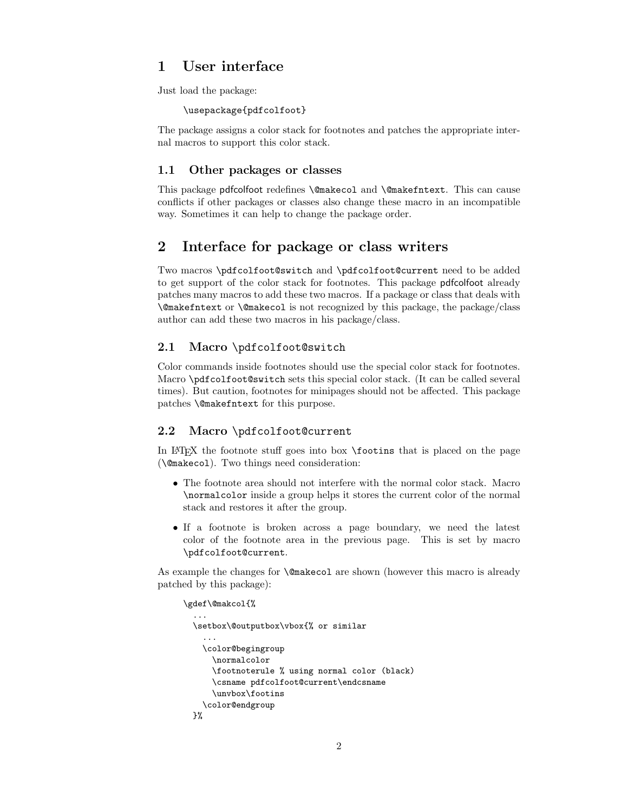# <span id="page-1-0"></span>1 User interface

Just load the package:

\usepackage{pdfcolfoot}

The package assigns a color stack for footnotes and patches the appropriate internal macros to support this color stack.

#### <span id="page-1-1"></span>1.1 Other packages or classes

This package pdfcolfoot redefines \@makecol and \@makefntext. This can cause conflicts if other packages or classes also change these macro in an incompatible way. Sometimes it can help to change the package order.

### <span id="page-1-2"></span>2 Interface for package or class writers

Two macros \pdfcolfoot@switch and \pdfcolfoot@current need to be added to get support of the color stack for footnotes. This package pdfcolfoot already patches many macros to add these two macros. If a package or class that deals with \@makefntext or \@makecol is not recognized by this package, the package/class author can add these two macros in his package/class.

#### <span id="page-1-3"></span>2.1 Macro \pdfcolfoot@switch

Color commands inside footnotes should use the special color stack for footnotes. Macro \pdfcolfoot@switch sets this special color stack. (It can be called several times). But caution, footnotes for minipages should not be affected. This package patches \@makefntext for this purpose.

#### <span id="page-1-4"></span>2.2 Macro \pdfcolfoot@current

In LATEX the footnote stuff goes into box \footins that is placed on the page (\@makecol). Two things need consideration:

- The footnote area should not interfere with the normal color stack. Macro \normalcolor inside a group helps it stores the current color of the normal stack and restores it after the group.
- If a footnote is broken across a page boundary, we need the latest color of the footnote area in the previous page. This is set by macro \pdfcolfoot@current.

As example the changes for \@makecol are shown (however this macro is already patched by this package):

```
\gdef\@makcol{%
  ...
 \setbox\@outputbox\vbox{% or similar
    ...
   \color@begingroup
      \normalcolor
      \footnoterule % using normal color (black)
      \csname pdfcolfoot@current\endcsname
      \unvbox\footins
    \color@endgroup
 }%
```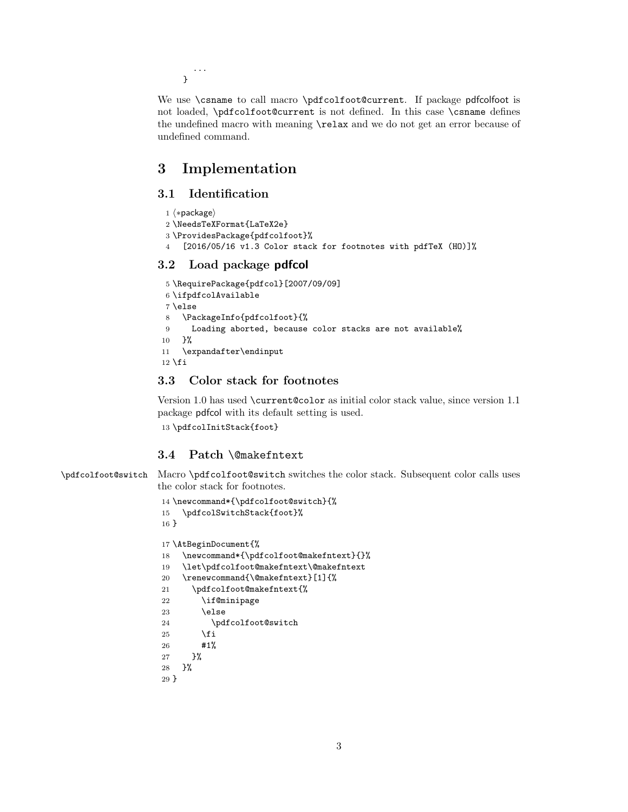... }

We use \csname to call macro \pdfcolfoot@current. If package pdfcolfoot is not loaded, \pdfcolfoot@current is not defined. In this case \csname defines the undefined macro with meaning \relax and we do not get an error because of undefined command.

## <span id="page-2-0"></span>3 Implementation

### <span id="page-2-1"></span>3.1 Identification

```
1 ⟨∗package⟩
2 \NeedsTeXFormat{LaTeX2e}
3 \ProvidesPackage{pdfcolfoot}%
4 [2016/05/16 v1.3 Color stack for footnotes with pdfTeX (HO)]%
```
### <span id="page-2-2"></span>3.2 Load package pdfcol

```
5 \RequirePackage{pdfcol}[2007/09/09]
6 \ifpdfcolAvailable
7 \else
8 \PackageInfo{pdfcolfoot}{%
9 Loading aborted, because color stacks are not available%
10 }%
11 \expandafter\endinput
12 \midfi
```
### <span id="page-2-8"></span><span id="page-2-3"></span>3.3 Color stack for footnotes

<span id="page-2-18"></span>Version 1.0 has used \current@color as initial color stack value, since version 1.1 package pdfcol with its default setting is used. 13 \pdfcolInitStack{foot}

### <span id="page-2-4"></span>3.4 Patch \@makefntext

<span id="page-2-16"></span>\pdfcolfoot@switch Macro \pdfcolfoot@switch switches the color stack. Subsequent color calls uses the color stack for footnotes.

```
14 \newcommand*{\pdfcolfoot@switch}{%
15 \pdfcolSwitchStack{foot}%
16 }
17 \AtBeginDocument{%
18 \newcommand*{\pdfcolfoot@makefntext}{}%
19 \let\pdfcolfoot@makefntext\@makefntext
20 \renewcommand{\@makefntext}[1]{%
21 \pdfcolfoot@makefntext{%
22 \if@minipage
23 \else
24 \pdfcolfoot@switch
25 \setminusfi
26 #1%
27 }%
28 }%
29 }
```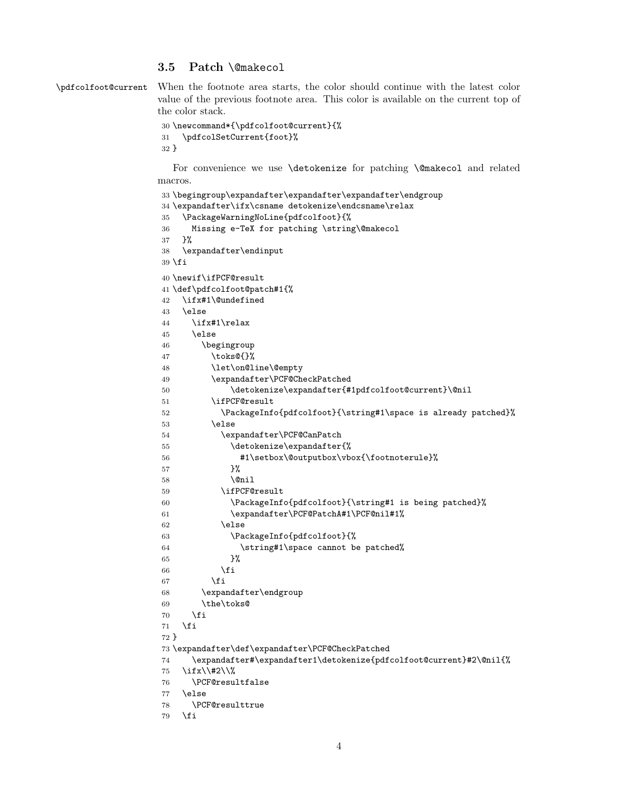#### <span id="page-3-0"></span>3.5 Patch \@makecol

```
\pdfcolfoot@current When the footnote area starts, the color should continue with the latest color
                      value of the previous footnote area. This color is available on the current top of
                      the color stack.
```

```
30 \newcommand*{\pdfcolfoot@current}{%
31 \pdfcolSetCurrent{foot}%
32 }
```
For convenience we use **\detokenize** for patching **\@makecol** and related macros.

```
33 \begingroup\expandafter\expandafter\expandafter\endgroup
34 \expandafter\ifx\csname detokenize\endcsname\relax
35 \PackageWarningNoLine{pdfcolfoot}{%
36 Missing e-TeX for patching \string\@makecol
37 }%
38 \expandafter\endinput
39 \fi
40 \newif\ifPCF@result
41 \def\pdfcolfoot@patch#1{%
42 \ifx#1\@undefined
43 \else
44 \ifx#1\relax
45 \else
46 \begingroup
47 \toks@{}%
48 \let\on@line\@empty
49 \expandafter\PCF@CheckPatched
50 \detokenize\expandafter{#1pdfcolfoot@current}\@nil
51 \ifPCF@result
52 \PackageInfo{pdfcolfoot}{\string#1\space is already patched}%
53 \else
54 \expandafter\PCF@CanPatch
55 \detokenize\expandafter{%
56 #1\setbox\@outputbox\vbox{\footnoterule}%
57 }%
58 \@nil
59 \ifPCF@result
60 \PackageInfo{pdfcolfoot}{\string#1 is being patched}%
61 \expandafter\PCF@PatchA#1\PCF@nil#1%
62 \else
63 \PackageInfo{pdfcolfoot}{%
64 \string#1\space cannot be patched%
65 }%
66 \quad \overrightarrow{fi}67 \fi
68 \expandafter\endgroup
69 \the\toks@
70 \ifmmode \overline{10}\else \times 10 \ifmmode \overline{10}\else \times 10 \fi71 \fi
72 }
73 \expandafter\def\expandafter\PCF@CheckPatched
74 \expandafter#\expandafter1\detokenize{pdfcolfoot@current}#2\@nil{%
75 \ifx\\#2\\%
76 \PCF@resultfalse
77 \else
78 \PCF@resulttrue
```

```
79 \fi
```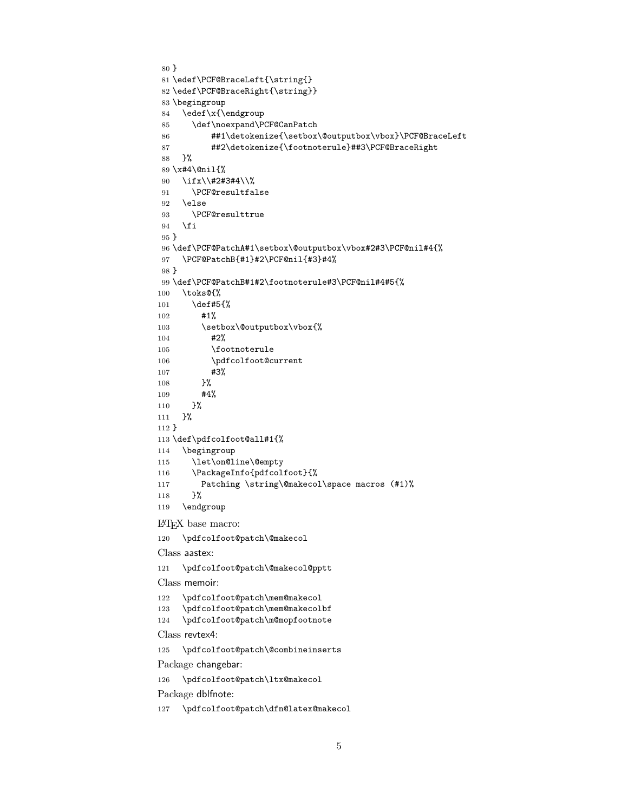```
80 }
81 \edef\PCF@BraceLeft{\string{}
82 \edef\PCF@BraceRight{\string}}
83 \begingroup
84 \edef\x{\endgroup
85 \def\noexpand\PCF@CanPatch
86 ##1\detokenize{\setbox\@outputbox\vbox}\PCF@BraceLeft
87 ##2\detokenize{\footnoterule}##3\PCF@BraceRight
88 }%
89 \x#4\@nil{%
90 \ifx\\#2#3#4\\%
91 \PCF@resultfalse
92 \else
93 \PCF@resulttrue
94 \fi
95 }
96 \def\PCF@PatchA#1\setbox\@outputbox\vbox#2#3\PCF@nil#4{%
97 \PCF@PatchB{#1}#2\PCF@nil{#3}#4%
98 }
99 \def\PCF@PatchB#1#2\footnoterule#3\PCF@nil#4#5{%
100 \toks@{%
101 \def#5{%
102 #1%
103 \setbox\@outputbox\vbox{%
104 #2%
105 \footnoterule
106 \pdfcolfoot@current
107 #3%
108 }%
109 #4%
110 }%
111 }%
112 }
113 \def\pdfcolfoot@all#1{%
114 \begingroup
115 \let\on@line\@empty
116 \PackageInfo{pdfcolfoot}{%
117 Patching \string\@makecol\space macros (#1)%
118 }%
119 \endgroup
```
<span id="page-4-26"></span><span id="page-4-25"></span><span id="page-4-18"></span><span id="page-4-13"></span><span id="page-4-8"></span><span id="page-4-2"></span><span id="page-4-1"></span>LATEX base macro:

<span id="page-4-3"></span>\pdfcolfoot@patch\@makecol

Class aastex:

<span id="page-4-4"></span>\pdfcolfoot@patch\@makecol@pptt

Class memoir:

- <span id="page-4-16"></span>\pdfcolfoot@patch\mem@makecol
- <span id="page-4-17"></span>\pdfcolfoot@patch\mem@makecolbf

<span id="page-4-15"></span>\pdfcolfoot@patch\m@mopfootnote

Class revtex4:

<span id="page-4-0"></span>\pdfcolfoot@patch\@combineinserts

Package changebar:

<span id="page-4-14"></span>\pdfcolfoot@patch\ltx@makecol

Package dblfnote:

<span id="page-4-11"></span>\pdfcolfoot@patch\dfn@latex@makecol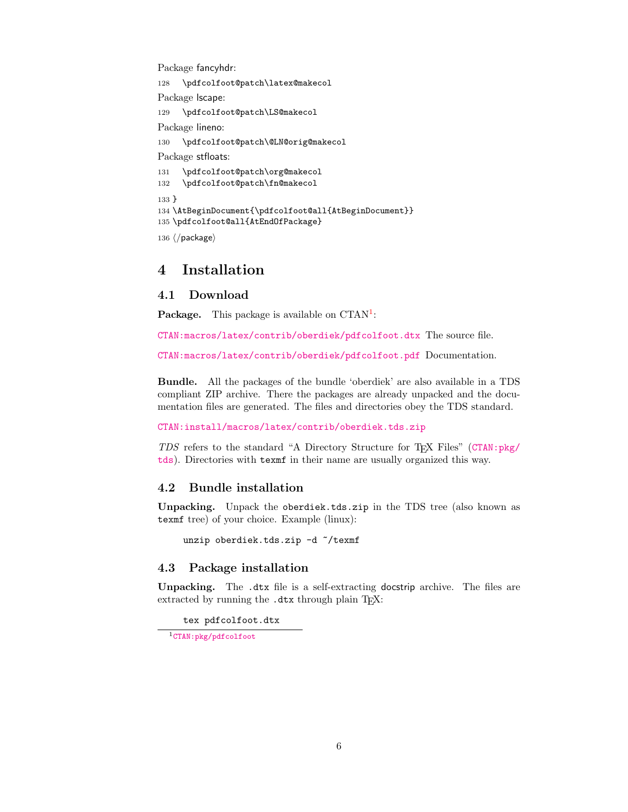Package fancyhdr:

<span id="page-5-9"></span><span id="page-5-8"></span><span id="page-5-5"></span> \pdfcolfoot@patch\latex@makecol Package lscape: \pdfcolfoot@patch\LS@makecol Package lineno: \pdfcolfoot@patch\@LN@orig@makecol Package stfloats: \pdfcolfoot@patch\org@makecol \pdfcolfoot@patch\fn@makecol 133 } \AtBeginDocument{\pdfcolfoot@all{AtBeginDocument}} \pdfcolfoot@all{AtEndOfPackage}

```
136 ⟨/package⟩
```
### <span id="page-5-0"></span>4 Installation

#### <span id="page-5-1"></span>4.1 Download

**Package.** This package is available on  $CTAN^1$  $CTAN^1$ :

[CTAN:macros/latex/contrib/oberdiek/pdfcolfoot.dtx](https://ctan.org/tex-archive/macros/latex/contrib/oberdiek/pdfcolfoot.dtx) The source file.

[CTAN:macros/latex/contrib/oberdiek/pdfcolfoot.pdf](https://ctan.org/tex-archive/macros/latex/contrib/oberdiek/pdfcolfoot.pdf) Documentation.

Bundle. All the packages of the bundle 'oberdiek' are also available in a TDS compliant ZIP archive. There the packages are already unpacked and the documentation files are generated. The files and directories obey the TDS standard.

[CTAN:install/macros/latex/contrib/oberdiek.tds.zip](http://mirrors.ctan.org/install/macros/latex/contrib/oberdiek.tds.zip)

TDS refers to the standard "A Directory Structure for TEX Files" ([CTAN:pkg/](http://ctan.org/pkg/tds) [tds](http://ctan.org/pkg/tds)). Directories with texmf in their name are usually organized this way.

### <span id="page-5-2"></span>4.2 Bundle installation

Unpacking. Unpack the oberdiek.tds.zip in the TDS tree (also known as texmf tree) of your choice. Example (linux):

unzip oberdiek.tds.zip -d ~/texmf

#### <span id="page-5-3"></span>4.3 Package installation

Unpacking. The .dtx file is a self-extracting docstrip archive. The files are extracted by running the .dtx through plain T<sub>E</sub>X:

tex pdfcolfoot.dtx

<span id="page-5-4"></span><sup>1</sup>[CTAN:pkg/pdfcolfoot](http://ctan.org/pkg/pdfcolfoot)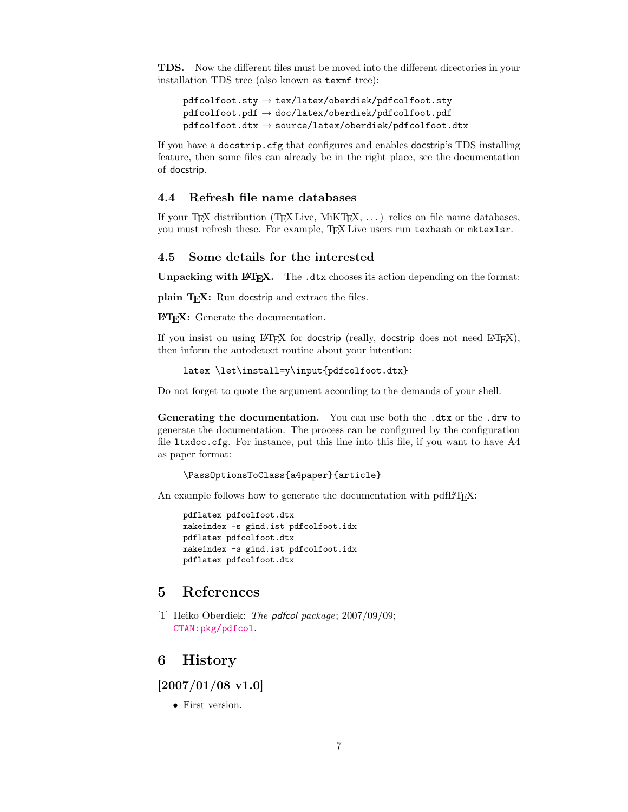TDS. Now the different files must be moved into the different directories in your installation TDS tree (also known as texmf tree):

```
\verb|pdfoot.sty| \rightarrow \verb|tex|/object/cb| \verb|order/pdfcolfoot.sty|pdfcolfoot.pdf \rightarrow doc/lates/oberdiek/pdfcolfoot.pdfpdfcolfoot. dt x \rightarrow source/lates/oberdiek/pdfcolfoot. dt x
```
If you have a docstrip.cfg that configures and enables docstrip's TDS installing feature, then some files can already be in the right place, see the documentation of docstrip.

#### <span id="page-6-0"></span>4.4 Refresh file name databases

If your T<sub>E</sub>X distribution (T<sub>E</sub>X Live, MiKT<sub>E</sub>X,  $\ldots$ ) relies on file name databases, you must refresh these. For example, TEX Live users run texhash or mktexlsr.

#### <span id="page-6-1"></span>4.5 Some details for the interested

**Unpacking with LATEX.** The  $\cdot$  dtx chooses its action depending on the format:

plain TEX: Run docstrip and extract the files.

LATEX: Generate the documentation.

If you insist on using  $L^2T_FX$  for docstrip (really, docstrip does not need  $L^2T_FX$ ), then inform the autodetect routine about your intention:

```
latex \let\install=y\input{pdfcolfoot.dtx}
```
Do not forget to quote the argument according to the demands of your shell.

Generating the documentation. You can use both the .dtx or the .drv to generate the documentation. The process can be configured by the configuration file ltxdoc.cfg. For instance, put this line into this file, if you want to have A4 as paper format:

\PassOptionsToClass{a4paper}{article}

An example follows how to generate the documentation with pdfL<sup>AT</sup>FX:

```
pdflatex pdfcolfoot.dtx
makeindex -s gind.ist pdfcolfoot.idx
pdflatex pdfcolfoot.dtx
makeindex -s gind.ist pdfcolfoot.idx
pdflatex pdfcolfoot.dtx
```
# <span id="page-6-2"></span>5 References

[1] Heiko Oberdiek: *The pdfcol package*; 2007/09/09; [CTAN:pkg/pdfcol](http://ctan.org/pkg/pdfcol).

### <span id="page-6-3"></span>6 History

<span id="page-6-4"></span> $[2007/01/08 \text{ v}1.0]$ 

• First version.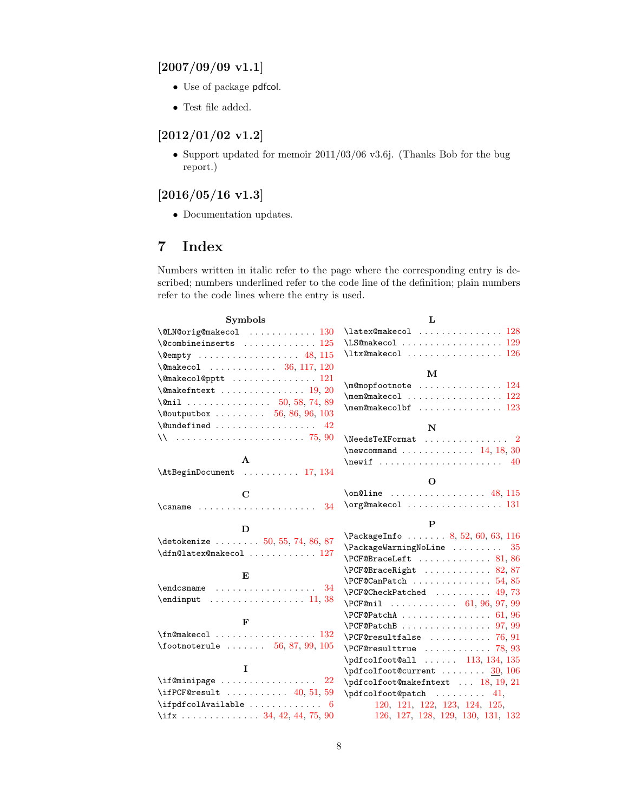# <span id="page-7-0"></span> $[2007/09/09 \text{ v}1.1]$

- Use of package pdfcol.
- Test file added.

## <span id="page-7-1"></span>[2012/01/02 v1.2]

• Support updated for memoir 2011/03/06 v3.6j. (Thanks Bob for the bug report.)

# <span id="page-7-2"></span> $[2016/05/16 \text{ v}1.3]$

• Documentation updates.

# <span id="page-7-3"></span>7 Index

Numbers written in italic refer to the page where the corresponding entry is described; numbers underlined refer to the code line of the definition; plain numbers refer to the code lines where the entry is used.

| <b>Symbols</b>                                                                                        | L                                                                       |
|-------------------------------------------------------------------------------------------------------|-------------------------------------------------------------------------|
| $\text{QUN@orig@makecol} \dots \dots \dots \dots \ 130$                                               | $\texttt{latex@makecol}$ 128                                            |
| $\sqrt{$ Combineinserts $125$                                                                         | \LS@makecol  129                                                        |
|                                                                                                       | $\texttt{ltx@makecol}$ 126                                              |
| \@makecol  36, 117, 120                                                                               |                                                                         |
| \@makecol@pptt  121                                                                                   | М                                                                       |
| $\{\mathsf{Omakefntext} \dots \dots \dots \dots \ 19, 20\}$                                           | $\mho$ gmopfootnote  124                                                |
| \@nil  50, 58, 74, 89                                                                                 | $\mbox{\tt \label{thm:main} \label{thm:main}$<br>$\m$ em@makecolbf  123 |
| $\sqrt{$ Coutputbox  56, 86, 96, 103                                                                  |                                                                         |
| $\text{Qundefined} \dots \dots \dots \dots \dots$<br>42                                               | $\mathbf N$                                                             |
| $\sqrt{25.90}$                                                                                        | $\text{NeedsTeXFormat}$ 2                                               |
|                                                                                                       | $\neq$ 0.14, 18, 30                                                     |
| $\mathbf{A}$                                                                                          | 40                                                                      |
| \AtBeginDocument  17, 134                                                                             |                                                                         |
|                                                                                                       | O                                                                       |
| $\mathbf C$                                                                                           | $\on$ line  48, 115                                                     |
| $\Gamma$ . $\frac{34}{10}$                                                                            |                                                                         |
|                                                                                                       |                                                                         |
|                                                                                                       | P                                                                       |
| D                                                                                                     | $\text{PackageInfo} \dots \dots \ 8, 52, 60, 63, 116$                   |
| $\det \{ \cdot \cdot \cdot \cdot \cdot 50, 55, 74, 86, 87 \}$                                         | $\{Pack\}$ PackageWarningNoLine  35                                     |
| \dfn@latex@makecol  127                                                                               | $\P$ CF@BraceLeft  81,86                                                |
|                                                                                                       | $\P$ CF@BraceRight  82,87                                               |
| E                                                                                                     | $\PCF@CanPatch$ 54,85                                                   |
| $\end{math}$ caname  34                                                                               | $\P$ CF@CheckPatched  49,73                                             |
| $\end{$                                                                                               | $\PCF@nil$ 61, 96, 97, 99                                               |
|                                                                                                       |                                                                         |
| F                                                                                                     |                                                                         |
| $\{\texttt{fn@makecol} \dots \dots \dots \dots \ 132\}$                                               | $\P$ CF@resultfalse  76.91                                              |
|                                                                                                       | $\PCF@resulttrue$ 78, 93                                                |
|                                                                                                       | $\pdfco1foot$ all $113, 134, 135$                                       |
| L                                                                                                     | $\pdfco1foot@current \ldots \ldots \frac{30}{106}$                      |
| $\verb \inf@minipage   22 $                                                                           | \pdfcolfoot@makefntext  18, 19, 21                                      |
| \ifPCF@result $\ldots \ldots \ldots$ 40, 51, 59                                                       | $\phi$ fcolfoot@patch  41,                                              |
| $\ifptfcolAvailable \ldots \ldots \ldots 6$<br>\if $x \ldots \ldots \ldots \ldots 34, 42, 44, 75, 90$ | 120, 121, 122, 123, 124, 125,<br>126, 127, 128, 129, 130, 131, 132      |